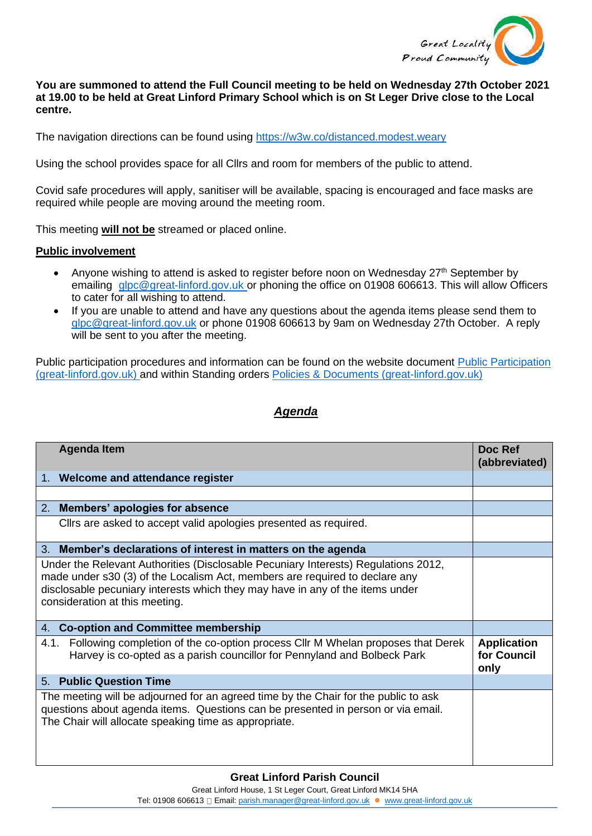

## **You are summoned to attend the Full Council meeting to be held on Wednesday 27th October 2021 at 19.00 to be held at Great Linford Primary School which is on St Leger Drive close to the Local centre.**

The navigation directions can be found using<https://w3w.co/distanced.modest.weary>

Using the school provides space for all Cllrs and room for members of the public to attend.

Covid safe procedures will apply, sanitiser will be available, spacing is encouraged and face masks are required while people are moving around the meeting room.

This meeting **will not be** streamed or placed online.

## **Public involvement**

- Anyone wishing to attend is asked to register before noon on Wednesday  $27<sup>th</sup>$  September by emailing [glpc@great-linford.gov.uk](mailto:glpc@great-linford.gov.uk) or phoning the office on 01908 606613. This will allow Officers to cater for all wishing to attend.
- If you are unable to attend and have any questions about the agenda items please send them to [glpc@great-linford.gov.uk](mailto:glpc@great-linford.gov.uk) or phone 01908 606613 by 9am on Wednesday 27th October. A reply will be sent to you after the meeting.

Public participation procedures and information can be found on the website document [Public Participation](https://www.great-linford.gov.uk/council-meetings/public-participation/)  [\(great-linford.gov.uk\)](https://www.great-linford.gov.uk/council-meetings/public-participation/) and within Standing orders [Policies & Documents \(great-linford.gov.uk\)](https://www.great-linford.gov.uk/the-parish-council/policies-documents/)

## *Agenda*

| <b>Agenda Item</b>                                                                                                                                                                                                                                                                   | Doc Ref<br>(abbreviated)                  |
|--------------------------------------------------------------------------------------------------------------------------------------------------------------------------------------------------------------------------------------------------------------------------------------|-------------------------------------------|
| 1. Welcome and attendance register                                                                                                                                                                                                                                                   |                                           |
|                                                                                                                                                                                                                                                                                      |                                           |
| 2. Members' apologies for absence                                                                                                                                                                                                                                                    |                                           |
| Clirs are asked to accept valid apologies presented as required.                                                                                                                                                                                                                     |                                           |
| 3. Member's declarations of interest in matters on the agenda                                                                                                                                                                                                                        |                                           |
| Under the Relevant Authorities (Disclosable Pecuniary Interests) Regulations 2012,<br>made under s30 (3) of the Localism Act, members are required to declare any<br>disclosable pecuniary interests which they may have in any of the items under<br>consideration at this meeting. |                                           |
| <b>Co-option and Committee membership</b><br>4.                                                                                                                                                                                                                                      |                                           |
| Following completion of the co-option process CIIr M Whelan proposes that Derek<br>4.1.<br>Harvey is co-opted as a parish councillor for Pennyland and Bolbeck Park                                                                                                                  | <b>Application</b><br>for Council<br>only |
| <b>Public Question Time</b><br>5.                                                                                                                                                                                                                                                    |                                           |
| The meeting will be adjourned for an agreed time by the Chair for the public to ask<br>questions about agenda items. Questions can be presented in person or via email.<br>The Chair will allocate speaking time as appropriate.                                                     |                                           |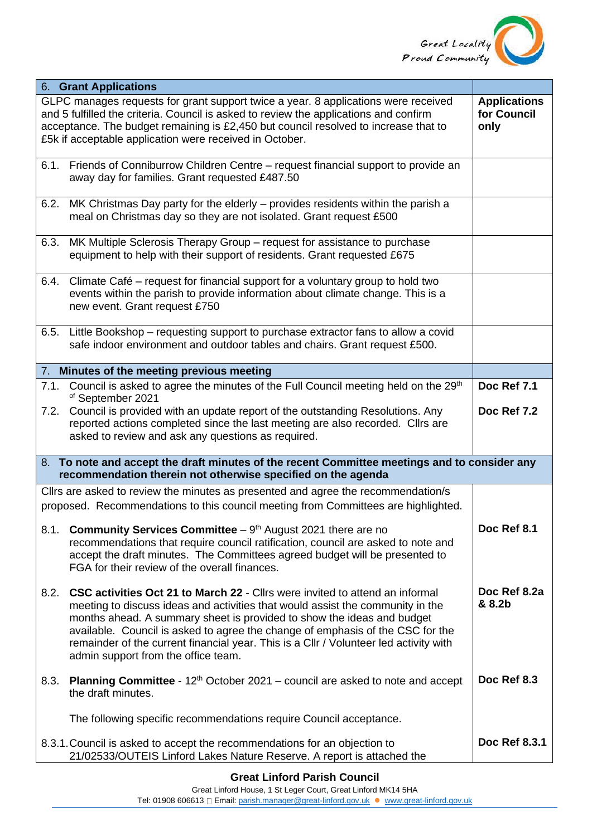

| <b>6. Grant Applications</b>                                                                                                                                 |                                                                                                                                                                                                                                                                                                                                                                                                                                                                   |                                            |  |  |
|--------------------------------------------------------------------------------------------------------------------------------------------------------------|-------------------------------------------------------------------------------------------------------------------------------------------------------------------------------------------------------------------------------------------------------------------------------------------------------------------------------------------------------------------------------------------------------------------------------------------------------------------|--------------------------------------------|--|--|
|                                                                                                                                                              | GLPC manages requests for grant support twice a year. 8 applications were received<br>and 5 fulfilled the criteria. Council is asked to review the applications and confirm<br>acceptance. The budget remaining is £2,450 but council resolved to increase that to<br>£5k if acceptable application were received in October.                                                                                                                                     | <b>Applications</b><br>for Council<br>only |  |  |
| 6.1.                                                                                                                                                         | Friends of Conniburrow Children Centre - request financial support to provide an<br>away day for families. Grant requested £487.50                                                                                                                                                                                                                                                                                                                                |                                            |  |  |
| 6.2.                                                                                                                                                         | MK Christmas Day party for the elderly – provides residents within the parish a<br>meal on Christmas day so they are not isolated. Grant request £500                                                                                                                                                                                                                                                                                                             |                                            |  |  |
| 6.3.                                                                                                                                                         | MK Multiple Sclerosis Therapy Group – request for assistance to purchase<br>equipment to help with their support of residents. Grant requested £675                                                                                                                                                                                                                                                                                                               |                                            |  |  |
| 6.4.                                                                                                                                                         | Climate Café – request for financial support for a voluntary group to hold two<br>events within the parish to provide information about climate change. This is a<br>new event. Grant request £750                                                                                                                                                                                                                                                                |                                            |  |  |
|                                                                                                                                                              | 6.5. Little Bookshop – requesting support to purchase extractor fans to allow a covid<br>safe indoor environment and outdoor tables and chairs. Grant request £500.                                                                                                                                                                                                                                                                                               |                                            |  |  |
|                                                                                                                                                              | 7. Minutes of the meeting previous meeting                                                                                                                                                                                                                                                                                                                                                                                                                        |                                            |  |  |
| 7.1.                                                                                                                                                         | Council is asked to agree the minutes of the Full Council meeting held on the 29th<br>of September 2021                                                                                                                                                                                                                                                                                                                                                           | Doc Ref 7.1                                |  |  |
|                                                                                                                                                              | 7.2. Council is provided with an update report of the outstanding Resolutions. Any<br>reported actions completed since the last meeting are also recorded. Cllrs are<br>asked to review and ask any questions as required.                                                                                                                                                                                                                                        | Doc Ref 7.2                                |  |  |
| 8. To note and accept the draft minutes of the recent Committee meetings and to consider any<br>recommendation therein not otherwise specified on the agenda |                                                                                                                                                                                                                                                                                                                                                                                                                                                                   |                                            |  |  |
|                                                                                                                                                              | Cllrs are asked to review the minutes as presented and agree the recommendation/s                                                                                                                                                                                                                                                                                                                                                                                 |                                            |  |  |
|                                                                                                                                                              | proposed. Recommendations to this council meeting from Committees are highlighted.                                                                                                                                                                                                                                                                                                                                                                                |                                            |  |  |
| 8.1.                                                                                                                                                         | <b>Community Services Committee</b> $-9th$ August 2021 there are no<br>recommendations that require council ratification, council are asked to note and<br>accept the draft minutes. The Committees agreed budget will be presented to<br>FGA for their review of the overall finances.                                                                                                                                                                           | Doc Ref 8.1                                |  |  |
| 8.2.                                                                                                                                                         | <b>CSC activities Oct 21 to March 22 - Cllrs were invited to attend an informal</b><br>meeting to discuss ideas and activities that would assist the community in the<br>months ahead. A summary sheet is provided to show the ideas and budget<br>available. Council is asked to agree the change of emphasis of the CSC for the<br>remainder of the current financial year. This is a Cllr / Volunteer led activity with<br>admin support from the office team. | Doc Ref 8.2a<br>& 8.2b                     |  |  |
| 8.3.                                                                                                                                                         | <b>Planning Committee</b> - $12th$ October 2021 – council are asked to note and accept<br>the draft minutes.                                                                                                                                                                                                                                                                                                                                                      | Doc Ref 8.3                                |  |  |
|                                                                                                                                                              | The following specific recommendations require Council acceptance.                                                                                                                                                                                                                                                                                                                                                                                                |                                            |  |  |
|                                                                                                                                                              | 8.3.1. Council is asked to accept the recommendations for an objection to<br>21/02533/OUTEIS Linford Lakes Nature Reserve. A report is attached the                                                                                                                                                                                                                                                                                                               | Doc Ref 8.3.1                              |  |  |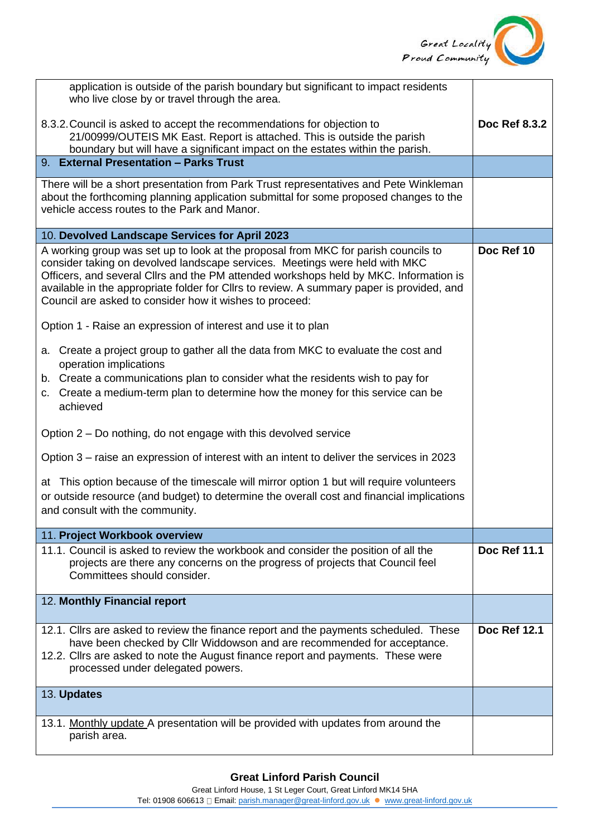

| application is outside of the parish boundary but significant to impact residents<br>who live close by or travel through the area.                                                                                                                                                                                                                                                                                 |                     |
|--------------------------------------------------------------------------------------------------------------------------------------------------------------------------------------------------------------------------------------------------------------------------------------------------------------------------------------------------------------------------------------------------------------------|---------------------|
| 8.3.2. Council is asked to accept the recommendations for objection to<br>21/00999/OUTEIS MK East. Report is attached. This is outside the parish<br>boundary but will have a significant impact on the estates within the parish.                                                                                                                                                                                 | Doc Ref 8.3.2       |
| 9. External Presentation - Parks Trust                                                                                                                                                                                                                                                                                                                                                                             |                     |
| There will be a short presentation from Park Trust representatives and Pete Winkleman<br>about the forthcoming planning application submittal for some proposed changes to the<br>vehicle access routes to the Park and Manor.                                                                                                                                                                                     |                     |
| 10. Devolved Landscape Services for April 2023                                                                                                                                                                                                                                                                                                                                                                     |                     |
| A working group was set up to look at the proposal from MKC for parish councils to<br>consider taking on devolved landscape services. Meetings were held with MKC<br>Officers, and several Cllrs and the PM attended workshops held by MKC. Information is<br>available in the appropriate folder for Cllrs to review. A summary paper is provided, and<br>Council are asked to consider how it wishes to proceed: | Doc Ref 10          |
| Option 1 - Raise an expression of interest and use it to plan                                                                                                                                                                                                                                                                                                                                                      |                     |
| a. Create a project group to gather all the data from MKC to evaluate the cost and<br>operation implications<br>b. Create a communications plan to consider what the residents wish to pay for<br>c. Create a medium-term plan to determine how the money for this service can be<br>achieved                                                                                                                      |                     |
| Option 2 – Do nothing, do not engage with this devolved service                                                                                                                                                                                                                                                                                                                                                    |                     |
| Option 3 – raise an expression of interest with an intent to deliver the services in 2023                                                                                                                                                                                                                                                                                                                          |                     |
| at This option because of the timescale will mirror option 1 but will require volunteers<br>or outside resource (and budget) to determine the overall cost and financial implications<br>and consult with the community.                                                                                                                                                                                           |                     |
| 11. Project Workbook overview                                                                                                                                                                                                                                                                                                                                                                                      |                     |
| 11.1. Council is asked to review the workbook and consider the position of all the<br>projects are there any concerns on the progress of projects that Council feel<br>Committees should consider.                                                                                                                                                                                                                 | Doc Ref 11.1        |
| 12. Monthly Financial report                                                                                                                                                                                                                                                                                                                                                                                       |                     |
| 12.1. Clirs are asked to review the finance report and the payments scheduled. These<br>have been checked by Cllr Widdowson and are recommended for acceptance.<br>12.2. Clirs are asked to note the August finance report and payments. These were<br>processed under delegated powers.                                                                                                                           | <b>Doc Ref 12.1</b> |
| 13. Updates                                                                                                                                                                                                                                                                                                                                                                                                        |                     |
| 13.1. Monthly update A presentation will be provided with updates from around the<br>parish area.                                                                                                                                                                                                                                                                                                                  |                     |